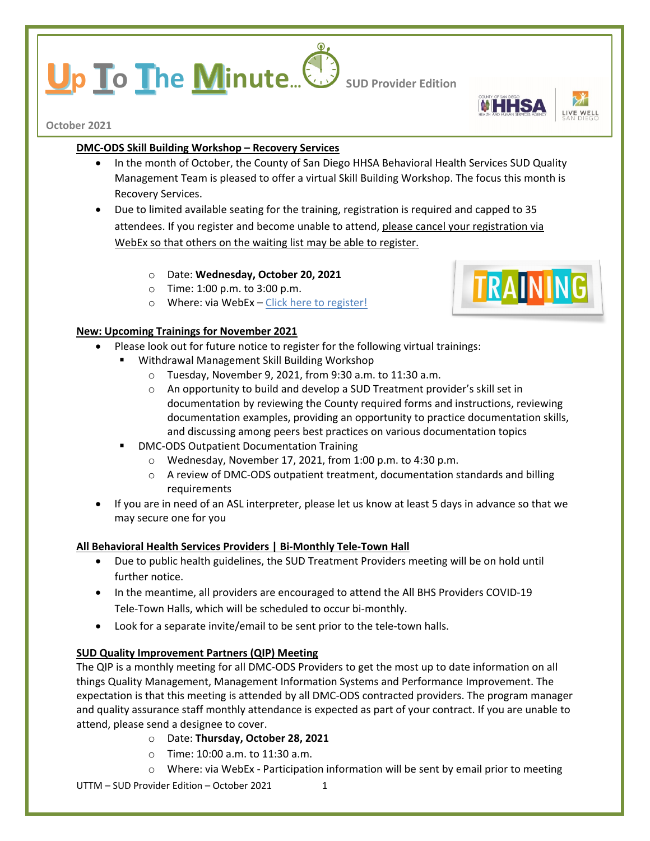# **p To The Minute...** Sub Provider Edition

**October 2021**

## **DMC-ODS Skill Building Workshop – Recovery Services**

- In the month of October, the County of San Diego HHSA Behavioral Health Services SUD Quality Management Team is pleased to offer a virtual Skill Building Workshop. The focus this month is Recovery Services.
- Due to limited available seating for the training, registration is required and capped to 35 attendees. If you register and become unable to attend, please cancel your registration via WebEx so that others on the waiting list may be able to register.
	- o Date: **Wednesday, October 20, 2021**
	- o Time: 1:00 p.m. to 3:00 p.m.
	- o Where: via WebEx [Click here to register!](https://sdcountyca.webex.com/mw3300/mywebex/default.do?service=7&main_url=%2Ftc3300%2Ftrainingcenter%2Fdefault.do%3Fsiteurl%3Dsdcountyca%26main_url%3D%252Ftc3300%252Fe.do%253FAT%253DMI%2526%2526Host%253DQUhTSwAAAAXVg-F0UoJEIZoCoAde3h1AK7u14EURI3jy1he1gwSiBL9dTxpRB6lWWVL3bvuRl17I95I0yKnhSifdMtxjcoUj0%2526MTID%253Dt77ca2659d77607c8d1e46f9c026adff3%2526siteurl%253Dsdcountyca%2526confID%253D206708410793632005%2526ticket%253D4832534b000000055e243f11169a9a80c3ff7a08bf8f5105cdbce9216567f53822654b7d086e1641&siteurl=sdcountyca)

## **New: Upcoming Trainings for November 2021**

- Please look out for future notice to register for the following virtual trainings:
	- Withdrawal Management Skill Building Workshop
		- o Tuesday, November 9, 2021, from 9:30 a.m. to 11:30 a.m.
		- o An opportunity to build and develop a SUD Treatment provider's skill set in documentation by reviewing the County required forms and instructions, reviewing documentation examples, providing an opportunity to practice documentation skills, and discussing among peers best practices on various documentation topics
		- DMC-ODS Outpatient Documentation Training
			- o Wednesday, November 17, 2021, from 1:00 p.m. to 4:30 p.m.
			- o A review of DMC-ODS outpatient treatment, documentation standards and billing requirements
- If you are in need of an ASL interpreter, please let us know at least 5 days in advance so that we may secure one for you

# **All Behavioral Health Services Providers | Bi-Monthly Tele-Town Hall**

- Due to public health guidelines, the SUD Treatment Providers meeting will be on hold until further notice.
- In the meantime, all providers are encouraged to attend the All BHS Providers COVID-19 Tele-Town Halls, which will be scheduled to occur bi-monthly.
- Look for a separate invite/email to be sent prior to the tele-town halls.

# **SUD Quality Improvement Partners (QIP) Meeting**

The QIP is a monthly meeting for all DMC-ODS Providers to get the most up to date information on all things Quality Management, Management Information Systems and Performance Improvement. The expectation is that this meeting is attended by all DMC-ODS contracted providers. The program manager and quality assurance staff monthly attendance is expected as part of your contract. If you are unable to attend, please send a designee to cover.

- o Date: **Thursday, October 28, 2021**
- o Time: 10:00 a.m. to 11:30 a.m.
- o Where: via WebEx Participation information will be sent by email prior to meeting

 $UTTM - SLID$  Provider Edition – October 2021 1



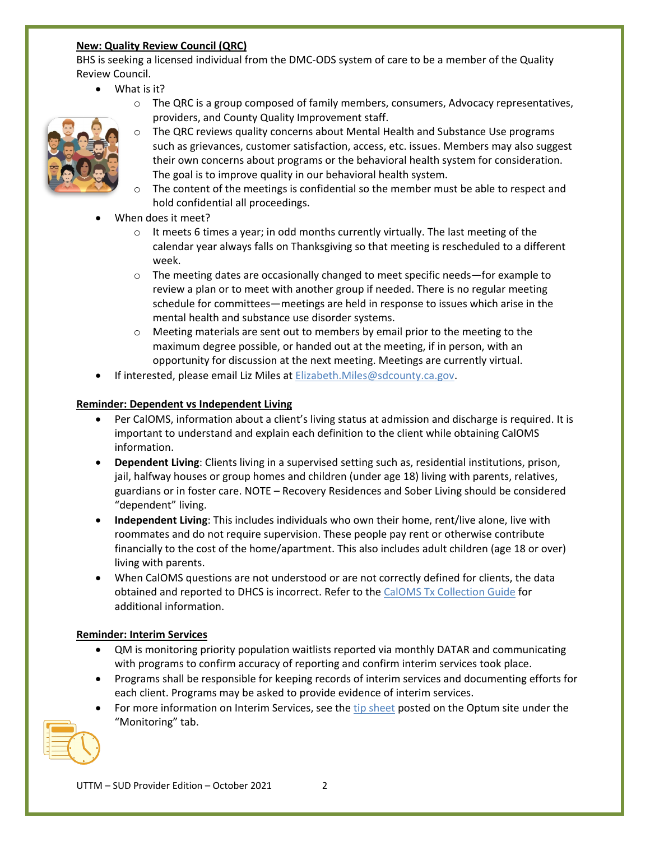# **New: Quality Review Council (QRC)**

BHS is seeking a licensed individual from the DMC-ODS system of care to be a member of the Quality Review Council.

- What is it?
	- $\circ$  The QRC is a group composed of family members, consumers, Advocacy representatives, providers, and County Quality Improvement staff.



- o The QRC reviews quality concerns about Mental Health and Substance Use programs such as grievances, customer satisfaction, access, etc. issues. Members may also suggest their own concerns about programs or the behavioral health system for consideration. The goal is to improve quality in our behavioral health system.
- The content of the meetings is confidential so the member must be able to respect and hold confidential all proceedings.
- When does it meet?
	- $\circ$  It meets 6 times a year; in odd months currently virtually. The last meeting of the calendar year always falls on Thanksgiving so that meeting is rescheduled to a different week.
	- $\circ$  The meeting dates are occasionally changed to meet specific needs—for example to review a plan or to meet with another group if needed. There is no regular meeting schedule for committees—meetings are held in response to issues which arise in the mental health and substance use disorder systems.
	- o Meeting materials are sent out to members by email prior to the meeting to the maximum degree possible, or handed out at the meeting, if in person, with an opportunity for discussion at the next meeting. Meetings are currently virtual.
- If interested, please email Liz Miles at [Elizabeth.Miles@sdcounty.ca.gov.](mailto:Elizabeth.Miles@sdcounty.ca.gov)

# **Reminder: Dependent vs Independent Living**

- Per CalOMS, information about a client's living status at admission and discharge is required. It is important to understand and explain each definition to the client while obtaining CalOMS information.
- **Dependent Living**: Clients living in a supervised setting such as, residential institutions, prison, jail, halfway houses or group homes and children (under age 18) living with parents, relatives, guardians or in foster care. NOTE – Recovery Residences and Sober Living should be considered "dependent" living.
- **Independent Living**: This includes individuals who own their home, rent/live alone, live with roommates and do not require supervision. These people pay rent or otherwise contribute financially to the cost of the home/apartment. This also includes adult children (age 18 or over) living with parents.
- When CalOMS questions are not understood or are not correctly defined for clients, the data obtained and reported to DHCS is incorrect. Refer to the [CalOMS Tx Collection Guide](https://www.dhcs.ca.gov/provgovpart/Documents/CalOMS_Tx_Data_Collection_Guide_JAN%202014.pdf) for additional information.

# **Reminder: Interim Services**

- QM is monitoring priority population waitlists reported via monthly DATAR and communicating with programs to confirm accuracy of reporting and confirm interim services took place.
- Programs shall be responsible for keeping records of interim services and documenting efforts for each client. Programs may be asked to provide evidence of interim services.
- For more information on Interim Services, see the [tip sheet](https://optumsandiego.com/content/dam/san-diego/documents/dmc-ods/monitoring/Interim_Services_-_updated_7-16-21.pdf) posted on the Optum site under the "Monitoring" tab.

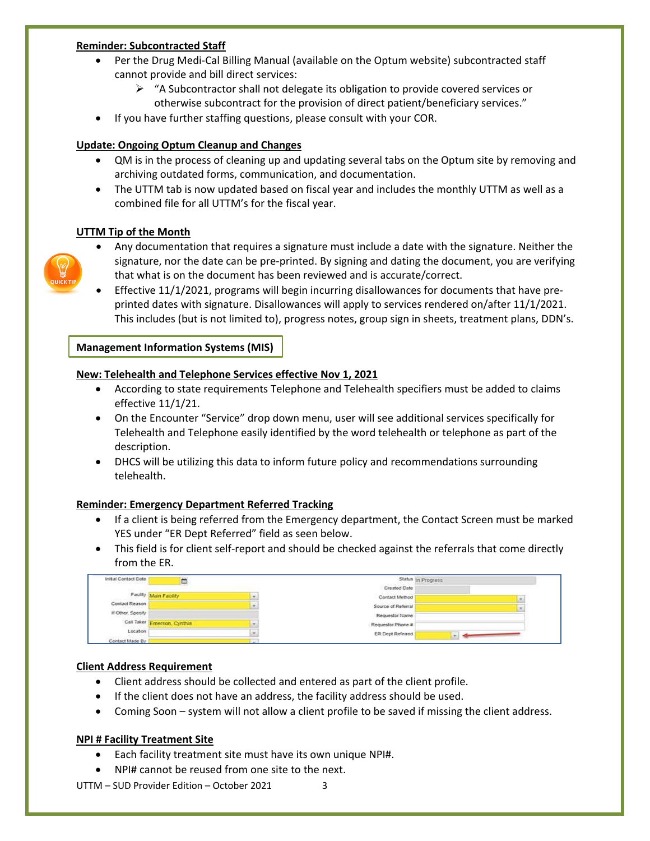#### **Reminder: Subcontracted Staff**

- Per the Drug Medi-Cal Billing Manual (available on the Optum website) subcontracted staff cannot provide and bill direct services:
	- $\triangleright$  "A Subcontractor shall not delegate its obligation to provide covered services or otherwise subcontract for the provision of direct patient/beneficiary services."
- If you have further staffing questions, please consult with your COR.

## **Update: Ongoing Optum Cleanup and Changes**

- QM is in the process of cleaning up and updating several tabs on the Optum site by removing and archiving outdated forms, communication, and documentation.
- The UTTM tab is now updated based on fiscal year and includes the monthly UTTM as well as a combined file for all UTTM's for the fiscal year.

## **UTTM Tip of the Month**



- Any documentation that requires a signature must include a date with the signature. Neither the signature, nor the date can be pre-printed. By signing and dating the document, you are verifying that what is on the document has been reviewed and is accurate/correct.
- Effective 11/1/2021, programs will begin incurring disallowances for documents that have preprinted dates with signature. Disallowances will apply to services rendered on/after 11/1/2021. This includes (but is not limited to), progress notes, group sign in sheets, treatment plans, DDN's.

#### **Management Information Systems (MIS)**

#### **New: Telehealth and Telephone Services effective Nov 1, 2021**

- According to state requirements Telephone and Telehealth specifiers must be added to claims effective 11/1/21.
- On the Encounter "Service" drop down menu, user will see additional services specifically for Telehealth and Telephone easily identified by the word telehealth or telephone as part of the description.
- DHCS will be utilizing this data to inform future policy and recommendations surrounding telehealth.

## **Reminder: Emergency Department Referred Tracking**

- If a client is being referred from the Emergency department, the Contact Screen must be marked YES under "ER Dept Referred" field as seen below.
- This field is for client self-report and should be checked against the referrals that come directly from the ER.

| Initial Contact Date | m.                          |   | Status in Progress      |  |
|----------------------|-----------------------------|---|-------------------------|--|
|                      |                             |   | Created Date            |  |
|                      | Facility Main Facility      | ٠ | Contact Method          |  |
| Contact Reason       |                             |   | Source of Referral      |  |
| If Other, Specify    |                             |   | Requestor Name          |  |
|                      | Call Taker Emerson, Cynthia |   | Requestor Phone #       |  |
| Location             |                             |   | <b>ER Dept Referred</b> |  |
| Contact Made By      |                             |   |                         |  |

#### **Client Address Requirement**

- Client address should be collected and entered as part of the client profile.
- If the client does not have an address, the facility address should be used.
- Coming Soon system will not allow a client profile to be saved if missing the client address.

#### **NPI # Facility Treatment Site**

- Each facility treatment site must have its own unique NPI#.
- NPI# cannot be reused from one site to the next.

 $UTTM - SLID$  Provider Edition – October 2021 3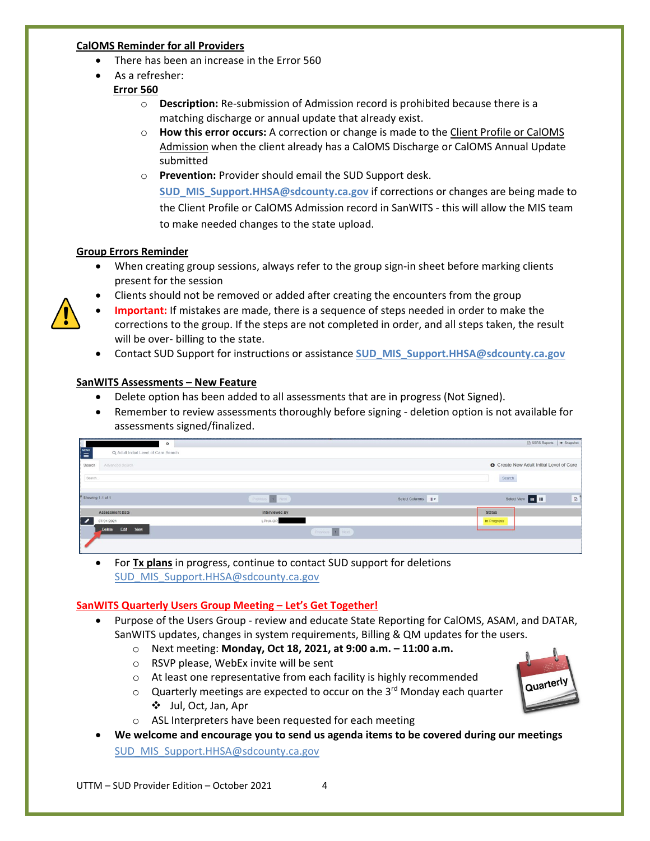#### **CalOMS Reminder for all Providers**

- There has been an increase in the Error 560
- As a refresher: **Error 560** 
	- o **Description:** Re-submission of Admission record is prohibited because there is a matching discharge or annual update that already exist.
	- o **How this error occurs:** A correction or change is made to the Client Profile or CalOMS Admission when the client already has a CalOMS Discharge or CalOMS Annual Update submitted
	- o **Prevention:** Provider should email the SUD Support desk.

**[SUD\\_MIS\\_Support.HHSA@sdcounty.ca.gov](mailto:SUD_MIS_Support.HHSA@sdcounty.ca.gov)** if corrections or changes are being made to the Client Profile or CalOMS Admission record in SanWITS - this will allow the MIS team to make needed changes to the state upload.

## **Group Errors Reminder**

- When creating group sessions, always refer to the group sign-in sheet before marking clients present for the session
- Clients should not be removed or added after creating the encounters from the group



- **Important:** If mistakes are made, there is a sequence of steps needed in order to make the corrections to the group. If the steps are not completed in order, and all steps taken, the result will be over- billing to the state.
- Contact SUD Support for instructions or assistance **[SUD\\_MIS\\_Support.HHSA@sdcounty.ca.gov](mailto:SUD_MIS_Support.HHSA@sdcounty.ca.gov)**

## **SanWITS Assessments – New Feature**

- Delete option has been added to all assessments that are in progress (Not Signed).
- Remember to review assessments thoroughly before signing deletion option is not available for assessments signed/finalized.

| $\circ$                                |                 |                      | <b>■ SSRS Reports</b>   ● Snapshot     |
|----------------------------------------|-----------------|----------------------|----------------------------------------|
| Q Adult Initial Level of Care Search   |                 |                      |                                        |
| Search<br>Advanced Search              |                 |                      | Create New Adult Initial Level of Care |
| Search.                                |                 |                      | Search                                 |
| <sup>#</sup> Showing 1-1 of 1          | Previous 1 Next | Select Columns III - | Select View <b>in H</b><br>团           |
| <b>Assessment Date</b>                 | Interviewed By  |                      | <b>Status</b>                          |
| $\overline{\phantom{a}}$<br>07/01/2021 | LPHA-OP.        |                      | In Progress                            |
| View<br>Edit<br>Delete                 | Previous 1 Next |                      |                                        |
|                                        |                 |                      |                                        |

• For **Tx plans** in progress, continue to contact SUD support for deletions [SUD\\_MIS\\_Support.HHSA@sdcounty.ca.gov](mailto:SUD_MIS_Support.HHSA@sdcounty.ca.gov)

## **SanWITS Quarterly Users Group Meeting – Let's Get Together!**

- Purpose of the Users Group review and educate State Reporting for CalOMS, ASAM, and DATAR, SanWITS updates, changes in system requirements, Billing & QM updates for the users.
	- o Next meeting: **Monday, Oct 18, 2021, at 9:00 a.m. – 11:00 a.m.**
	- o RSVP please, WebEx invite will be sent
	- o At least one representative from each facility is highly recommended
	- $\circ$  Quarterly meetings are expected to occur on the 3<sup>rd</sup> Monday each quarter Jul, Oct, Jan, Apr
	- o ASL Interpreters have been requested for each meeting
- **We welcome and encourage you to send us agenda items to be covered during our meetings** [SUD\\_MIS\\_Support.HHSA@sdcounty.ca.gov](mailto:SUD_MIS_Support.HHSA@sdcounty.ca.gov)

 $UTTM - SLID$  Provider Edition – October 2021  $4$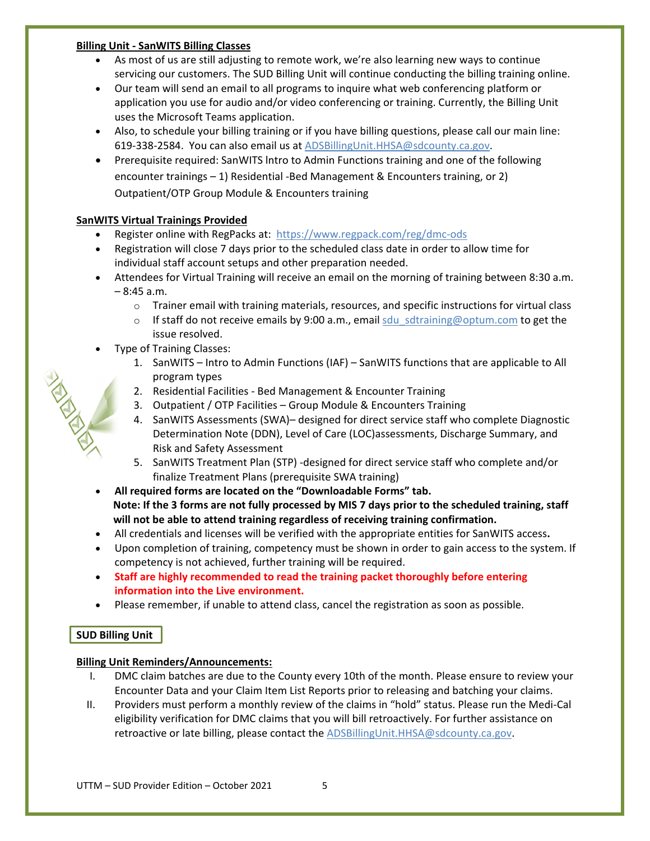#### **Billing Unit - SanWITS Billing Classes**

- As most of us are still adjusting to remote work, we're also learning new ways to continue servicing our customers. The SUD Billing Unit will continue conducting the billing training online.
- Our team will send an email to all programs to inquire what web conferencing platform or application you use for audio and/or video conferencing or training. Currently, the Billing Unit uses the Microsoft Teams application.
- Also, to schedule your billing training or if you have billing questions, please call our main line: 619-338-2584. You can also email us at [ADSBillingUnit.HHSA@sdcounty.ca.gov.](mailto:ADSBillingUnit.HHSA@sdcounty.ca.gov)
- Prerequisite required: SanWITS lntro to Admin Functions training and one of the following encounter trainings – 1) Residential -Bed Management & Encounters training, or 2) Outpatient/OTP Group Module & Encounters training

# **SanWITS Virtual Trainings Provided**

- Register online with RegPacks at: <https://www.regpack.com/reg/dmc-ods>
- Registration will close 7 days prior to the scheduled class date in order to allow time for individual staff account setups and other preparation needed.
- Attendees for Virtual Training will receive an email on the morning of training between 8:30 a.m. – 8:45 a.m.
	- $\circ$  Trainer email with training materials, resources, and specific instructions for virtual class
	- $\circ$  If staff do not receive emails by 9:00 a.m., email sdu sdtraining@optum.com to get the issue resolved.
- Type of Training Classes:
	- 1. SanWITS Intro to Admin Functions (IAF) SanWITS functions that are applicable to All program types
	- 2. Residential Facilities Bed Management & Encounter Training
	- 3. Outpatient / OTP Facilities Group Module & Encounters Training
	- 4. SanWITS Assessments (SWA)– designed for direct service staff who complete Diagnostic Determination Note (DDN), Level of Care (LOC)assessments, Discharge Summary, and Risk and Safety Assessment
	- 5. SanWITS Treatment Plan (STP) -designed for direct service staff who complete and/or finalize Treatment Plans (prerequisite SWA training)
- **All required forms are located on the "Downloadable Forms" tab. Note: If the 3 forms are not fully processed by MIS 7 days prior to the scheduled training, staff will not be able to attend training regardless of receiving training confirmation.**
- All credentials and licenses will be verified with the appropriate entities for SanWITS access**.**
- Upon completion of training, competency must be shown in order to gain access to the system. If competency is not achieved, further training will be required.
- **Staff are highly recommended to read the training packet thoroughly before entering information into the Live environment.**
- Please remember, if unable to attend class, cancel the registration as soon as possible.

# **SUD Billing Unit**

# **Billing Unit Reminders/Announcements:**

- I. DMC claim batches are due to the County every 10th of the month. Please ensure to review your Encounter Data and your Claim Item List Reports prior to releasing and batching your claims.
- II. Providers must perform a monthly review of the claims in "hold" status. Please run the Medi-Cal eligibility verification for DMC claims that you will bill retroactively. For further assistance on retroactive or late billing, please contact the [ADSBillingUnit.HHSA@sdcounty.ca.gov.](mailto:ADSBillingUnit.HHSA@sdcounty.ca.gov)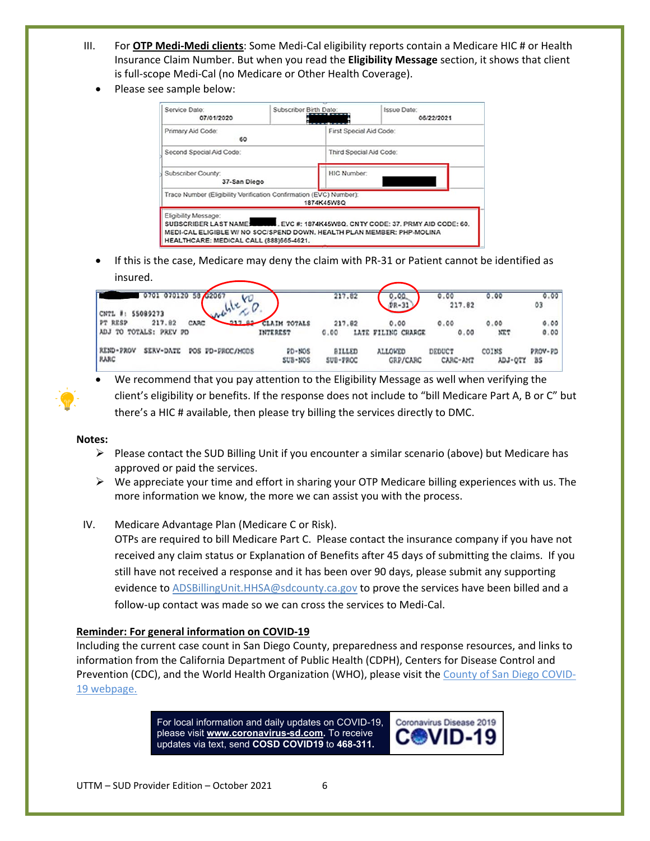- III. For **OTP Medi-Medi clients**: Some Medi-Cal eligibility reports contain a Medicare HIC # or Health Insurance Claim Number. But when you read the **Eligibility Message** section, it shows that client is full-scope Medi-Cal (no Medicare or Other Health Coverage).
	- Please see sample below:

| Service Date:<br>07/01/2020                                        | Subscriber Birth Date: | <b>Issue Date:</b><br>06/22/2021                                                                                                                         |  |  |  |
|--------------------------------------------------------------------|------------------------|----------------------------------------------------------------------------------------------------------------------------------------------------------|--|--|--|
| Primary Aid Code:<br>60                                            |                        | First Special Aid Code:                                                                                                                                  |  |  |  |
| Second Special Aid Code:                                           |                        | Third Special Aid Code:                                                                                                                                  |  |  |  |
| Subscriber County:<br>37-San Diego                                 |                        | <b>HIC Number:</b>                                                                                                                                       |  |  |  |
| Trace Number (Eligibility Verification Confirmation (EVC) Number): | 1874K45W8Q             |                                                                                                                                                          |  |  |  |
| Eligibility Message:<br>HEALTHCARE: MEDICAL CALL (888)665-4621.    |                        | SUBSCRIBER LAST NAME WILL EVC #: 1874K45W8Q, CNTY CODE: 37, PRMY AID CODE: 60.<br>MEDI-CAL ELIGIBLE W/ NO SOC/SPEND DOWN. HEALTH PLAN MEMBER: PHP-MOLINA |  |  |  |

• If this is the case, Medicare may deny the claim with PR-31 or Patient cannot be identified as insured.

| 0701 070120 58 42067<br>CNTL #:<br>55089273                        |                                        | 217.82             | 0.00.                      | 0.00<br>217.82     | 0.00             | 0.00<br>03    |
|--------------------------------------------------------------------|----------------------------------------|--------------------|----------------------------|--------------------|------------------|---------------|
| w<br>217.82<br>217.82<br>PT RESP<br>CARC<br>ADJ TO TOTALS: PREV PD | <b>CLAIM TOTALS</b><br><b>INTEREST</b> | 217.82<br>0.00     | 0.00<br>LATE FILING CHARGE | 0.00<br>0.00       | 0.00<br>XET      | 0.00<br>0.00  |
| <b>REND-PROV</b><br>SERV-DATE<br>POS FD-PROC/MODS<br><b>RARC</b>   | $PD-MOS$<br>SUB-NOS                    | BILLED<br>SUB-PROC | ALLOWED<br><b>GRP/CARC</b> | DEDUCT<br>CARC-AM7 | COINS<br>YD1-OLX | PROV-PD<br>BS |

• We recommend that you pay attention to the Eligibility Message as well when verifying the client's eligibility or benefits. If the response does not include to "bill Medicare Part A, B or C" but there's a HIC # available, then please try billing the services directly to DMC.

#### **Notes:**

- $\triangleright$  Please contact the SUD Billing Unit if you encounter a similar scenario (above) but Medicare has approved or paid the services.
- $\triangleright$  We appreciate your time and effort in sharing your OTP Medicare billing experiences with us. The more information we know, the more we can assist you with the process.

## IV. Medicare Advantage Plan (Medicare C or Risk).

OTPs are required to bill Medicare Part C. Please contact the insurance company if you have not received any claim status or Explanation of Benefits after 45 days of submitting the claims. If you still have not received a response and it has been over 90 days, please submit any supporting evidence t[o ADSBillingUnit.HHSA@sdcounty.ca.gov](mailto:ADSBillingUnit.HHSA@sdcounty.ca.gov) to prove the services have been billed and a follow-up contact was made so we can cross the services to Medi-Cal.

#### **Reminder: For general information on COVID-19**

Including the current case count in San Diego County, preparedness and response resources, and links to information from the California Department of Public Health (CDPH), Centers for Disease Control and Prevention (CDC), and the World Health Organization (WHO), please visit th[e County of San Diego COVID-](https://www.sandiegocounty.gov/coronavirus.html)[19 webpage.](https://www.sandiegocounty.gov/coronavirus.html)

> For local information and daily updates on COVID-19, please visit **[www.coronavirus-sd.com.](http://www.coronavirus-sd.com/)** To receive updates via text, send **COSD COVID19** to **468-311.**

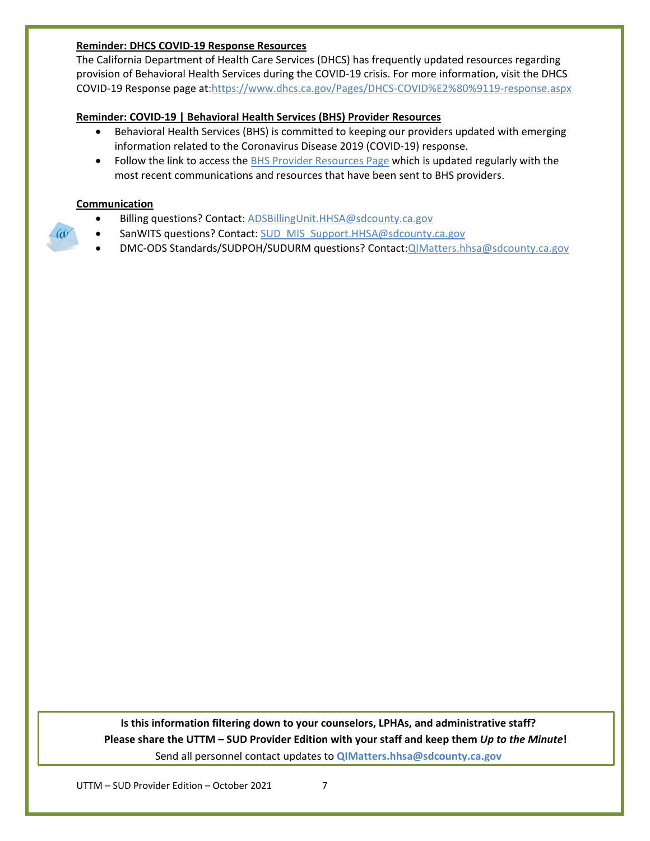#### **Reminder: DHCS COVID-19 Response Resources**

The California Department of Health Care Services (DHCS) has frequently updated resources regarding provision of Behavioral Health Services during the COVID-19 crisis. For more information, visit the DHCS COVID-19 Response page at[:https://www.dhcs.ca.gov/Pages/DHCS-COVID%E2%80%9119-response.aspx](https://www.dhcs.ca.gov/Pages/DHCS-COVID%E2%80%9119-response.aspx) 

## **Reminder: COVID-19 | Behavioral Health Services (BHS) Provider Resources**

- Behavioral Health Services (BHS) is committed to keeping our providers updated with emerging information related to the Coronavirus Disease 2019 (COVID-19) response.
- Follow the link to access the [BHS Provider Resources Page](https://www.sandiegocounty.gov/content/sdc/hhsa/programs/bhs/BHSCOVID19Information.html?cq_ck=1584750268972.html) which is updated regularly with the most recent communications and resources that have been sent to BHS providers.

## **Communication**

 $\omega$ 

- Billing questions? Contact[: ADSBillingUnit.HHSA@sdcounty.ca.gov](mailto:ADSBillingUnit.HHSA@sdcounty.ca.gov)
- SanWITS questions? Contact[: SUD\\_MIS\\_Support.HHSA@sdcounty.ca.gov](mailto:SUD_MIS_Support.HHSA@sdcounty.ca.gov)
- DMC-ODS Standards/SUDPOH/SUDURM questions? Contact[:QIMatters.hhsa@sdcounty.ca.gov](mailto:QIMatters.hhsa@sdcounty.ca.gov)

**Is this information filtering down to your counselors, LPHAs, and administrative staff? Please share the UTTM – SUD Provider Edition with your staff and keep them** *Up to the Minute***!** Send all personnel contact updates to **[QIMatters.hhsa@sdcounty.ca.gov](mailto:QIMatters.hhsa@sdcounty.ca.gov)**

UTTM – SUD Provider Edition – October 2021 7